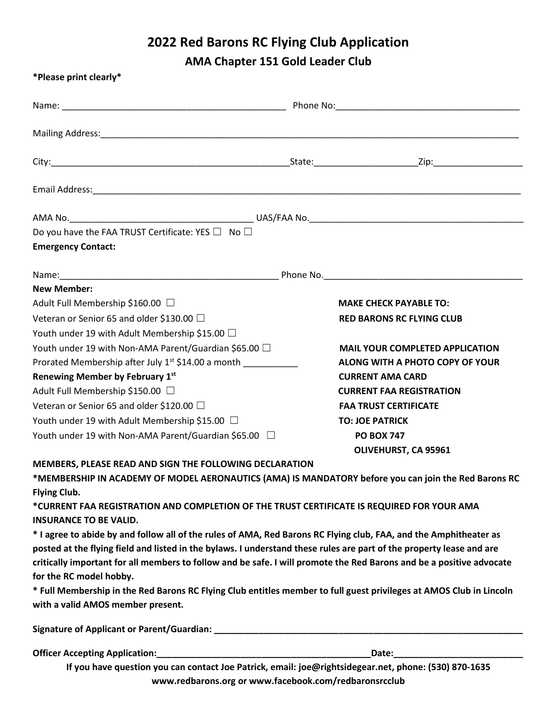## **2022 Red Barons RC Flying Club Application**

**AMA Chapter 151 Gold Leader Club**

| *Please print clearly*                                                                                                                                          |                                                                                                      |
|-----------------------------------------------------------------------------------------------------------------------------------------------------------------|------------------------------------------------------------------------------------------------------|
|                                                                                                                                                                 |                                                                                                      |
|                                                                                                                                                                 |                                                                                                      |
|                                                                                                                                                                 |                                                                                                      |
|                                                                                                                                                                 |                                                                                                      |
|                                                                                                                                                                 |                                                                                                      |
| Do you have the FAA TRUST Certificate: YES $\Box$ No $\Box$                                                                                                     |                                                                                                      |
| <b>Emergency Contact:</b>                                                                                                                                       |                                                                                                      |
|                                                                                                                                                                 |                                                                                                      |
| <b>New Member:</b>                                                                                                                                              |                                                                                                      |
| Adult Full Membership \$160.00 $\,\Box$                                                                                                                         | <b>MAKE CHECK PAYABLE TO:</b>                                                                        |
| Veteran or Senior 65 and older \$130.00 $\Box$                                                                                                                  | <b>RED BARONS RC FLYING CLUB</b>                                                                     |
| Youth under 19 with Adult Membership \$15.00 $\Box$                                                                                                             |                                                                                                      |
| Youth under 19 with Non-AMA Parent/Guardian \$65.00 $\Box$                                                                                                      | <b>MAIL YOUR COMPLETED APPLICATION</b>                                                               |
| Prorated Membership after July 1 <sup>st</sup> \$14.00 a month ____________                                                                                     | ALONG WITH A PHOTO COPY OF YOUR                                                                      |
| Renewing Member by February 1st                                                                                                                                 | <b>CURRENT AMA CARD</b>                                                                              |
| Adult Full Membership \$150.00 $\,\Box$                                                                                                                         | <b>CURRENT FAA REGISTRATION</b>                                                                      |
| Veteran or Senior 65 and older \$120.00 $\Box$                                                                                                                  | <b>FAA TRUST CERTIFICATE</b>                                                                         |
| Youth under 19 with Adult Membership \$15.00 $\,\Box$                                                                                                           | <b>TO: JOE PATRICK</b>                                                                               |
| Youth under 19 with Non-AMA Parent/Guardian \$65.00 $\quad \Box$                                                                                                | <b>PO BOX 747</b>                                                                                    |
|                                                                                                                                                                 | OLIVEHURST, CA 95961                                                                                 |
| MEMBERS, PLEASE READ AND SIGN THE FOLLOWING DECLARATION<br>*MEMBERSHIP IN ACADEMY OF MODEL AERONAUTICS (AMA) IS MANDATORY before you can join the Red Barons RC |                                                                                                      |
| <b>Flying Club.</b>                                                                                                                                             |                                                                                                      |
| *CURRENT FAA REGISTRATION AND COMPLETION OF THE TRUST CERTIFICATE IS REQUIRED FOR YOUR AMA                                                                      |                                                                                                      |
| <b>INSURANCE TO BE VALID.</b>                                                                                                                                   |                                                                                                      |
| * I agree to abide by and follow all of the rules of AMA, Red Barons RC Flying club, FAA, and the Amphitheater as                                               |                                                                                                      |
| posted at the flying field and listed in the bylaws. I understand these rules are part of the property lease and are                                            |                                                                                                      |
| critically important for all members to follow and be safe. I will promote the Red Barons and be a positive advocate                                            |                                                                                                      |
| for the RC model hobby.                                                                                                                                         |                                                                                                      |
| * Full Membership in the Red Barons RC Flying Club entitles member to full guest privileges at AMOS Club in Lincoln                                             |                                                                                                      |
| with a valid AMOS member present.                                                                                                                               |                                                                                                      |
|                                                                                                                                                                 |                                                                                                      |
|                                                                                                                                                                 |                                                                                                      |
|                                                                                                                                                                 | If you have question you can contact loo Patrick, email: joe@rightsidegear.net.nhone: (520) 870-1635 |

**If you have question you can contact Joe Patrick, email: [joe@rightsidegear.net,](mailto:joe@rightsidegear.net) phone: (530) 870-1635 [www.redbarons.org](http://www.redbarons.org/) or [www.facebook.com/redbaronsrcclub](http://www.facebook.com/redbaronsrcclub)**